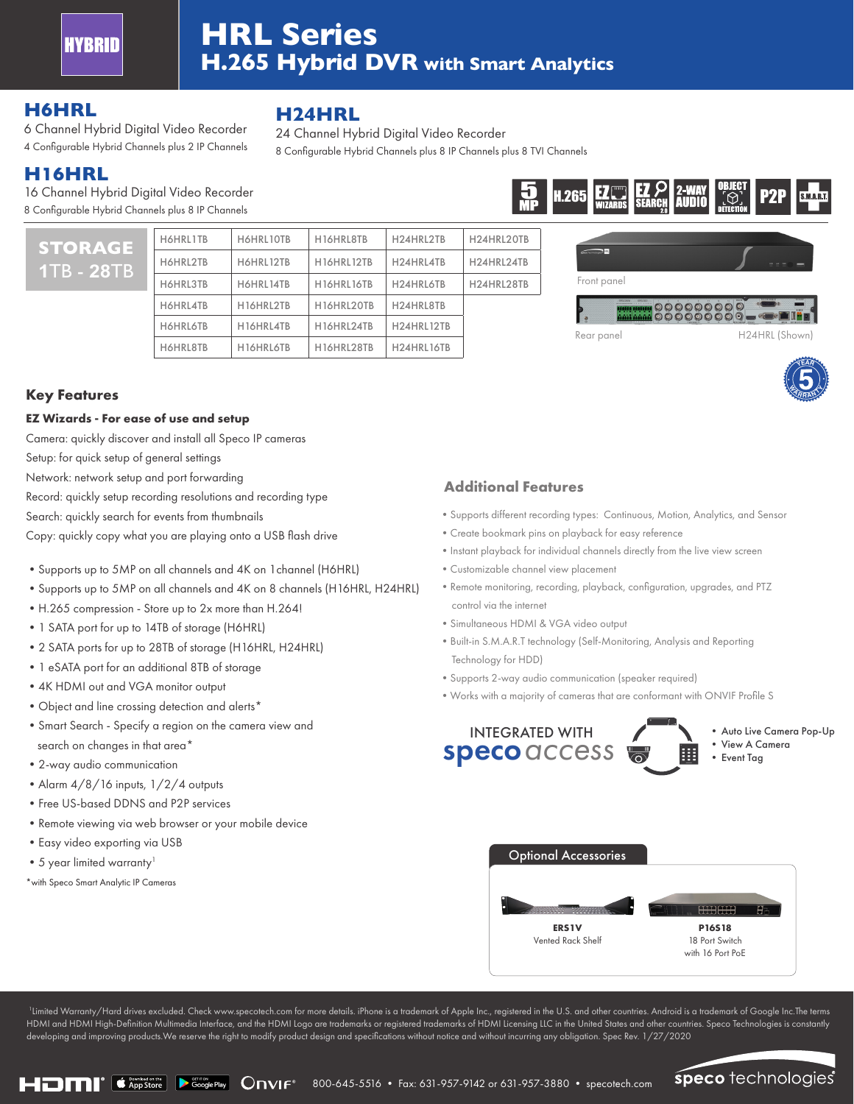

# **HRL Series H.265 Hybrid DVR with Smart Analytics**

24 Channel Hybrid Digital Video Recorder

8 Configurable Hybrid Channels plus 8 IP Channels plus 8 TVI Channels

### **H6HRL**

6 Channel Hybrid Digital Video Recorder 4 Configurable Hybrid Channels plus 2 IP Channels

## **H16HRL**

**STO 1**TB - **28**TB

16 Channel Hybrid Digital Video Recorder 8 Configurable Hybrid Channels plus 8 IP Channels

| <b>RAGE</b><br><b>28TB</b> | H6HRL1TB        | H6HRL10TB | H16HRL8TB  | H24HRL2TB  | H24HRL20TB |
|----------------------------|-----------------|-----------|------------|------------|------------|
|                            | H6HRL2TB        | H6HRL12TB | H16HRL12TB | H24HRL4TB  | H24HRL24TB |
|                            | H6HRL3TB        | H6HRL14TB | H16HRL16TB | H24HRL6TB  | H24HRL28TB |
|                            | H6HRL4TB        | H16HRL2TB | H16HRL20TB | H24HRL8TB  |            |
|                            | <b>H6HRL6TB</b> | H16HRL4TB | H16HRL24TB | H24HRL12TB |            |
|                            | H6HRL8TB        | H16HRL6TB | H16HRL28TB | H24HRL16TB |            |

**H24HRL**





Rear panel H24HRL (Shown)

**YEAR**

**WARRAN** 



#### **EZ Wizards - For ease of use and setup**

Camera: quickly discover and install all Speco IP cameras

Setup: for quick setup of general settings

Network: network setup and port forwarding

Record: quickly setup recording resolutions and recording type

Search: quickly search for events from thumbnails

Copy: quickly copy what you are playing onto a USB flash drive

- •Supports up to 5MP on all channels and 4K on 1channel (H6HRL)
- •Supports up to 5MP on all channels and 4K on 8 channels (H16HRL, H24HRL)
- •H.265 compression Store up to 2x more than H.264!
- •1 SATA port for up to 14TB of storage (H6HRL)
- •2 SATA ports for up to 28TB of storage (H16HRL, H24HRL)
- •1 eSATA port for an additional 8TB of storage
- •4K HDMI out and VGA monitor output
- •Object and line crossing detection and alerts\*
- •Smart Search Specify a region on the camera view and search on changes in that area\*
- •2-way audio communication
- Alarm 4/8/16 inputs, 1/2/4 outputs
- •Free US-based DDNS and P2P services
- •Remote viewing via web browser or your mobile device
- •Easy video exporting via USB
- 5 year limited warranty<sup>1</sup>
- \*with Speco Smart Analytic IP Cameras

#### **Additional Features**

- •Supports different recording types: Continuous, Motion, Analytics, and Sensor
- •Create bookmark pins on playback for easy reference
- •Instant playback for individual channels directly from the live view screen
- •Customizable channel view placement
- •Remote monitoring, recording, playback, configuration, upgrades, and PTZ control via the internet
- •Simultaneous HDMI & VGA video output
- •Built-in S.M.A.R.T technology (Self-Monitoring, Analysis and Reporting Technology for HDD)
- •Supports 2-way audio communication (speaker required)
- •Works with a majority of cameras that are conformant with ONVIF Profile S



•Auto Live Camera Pop-Up •View A Camera •Event Tag



1 Limited Warranty/Hard drives excluded. Check www.specotech.com for more details. iPhone is a trademark of Apple Inc., registered in the U.S. and other countries. Android is a trademark of Google Inc.The terms HDMI and HDMI High-Definition Multimedia Interface, and the HDMI Logo are trademarks or registered trademarks of HDMI Licensing LLC in the United States and other countries. Speco Technologies is constantly developing and improving products.We reserve the right to modify product design and specifications without notice and without incurring any obligation. Spec Rev. 1/27/2020